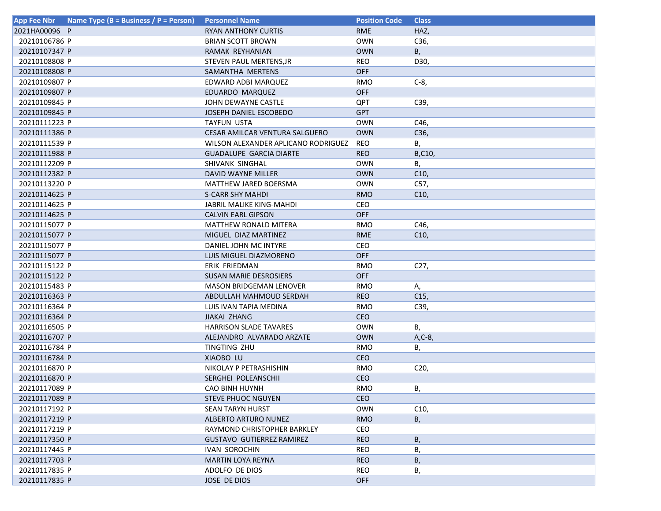| <b>App Fee Nbr</b> | Name Type (B = Business / P = Person) | <b>Personnel Name</b>               | <b>Position Code</b> | <b>Class</b>    |
|--------------------|---------------------------------------|-------------------------------------|----------------------|-----------------|
| 2021HA00096 P      |                                       | <b>RYAN ANTHONY CURTIS</b>          | <b>RME</b>           | HAZ,            |
| 20210106786 P      |                                       | BRIAN SCOTT BROWN                   | <b>OWN</b>           | C36,            |
| 20210107347 P      |                                       | RAMAK REYHANIAN                     | <b>OWN</b>           | В,              |
| 20210108808 P      |                                       | STEVEN PAUL MERTENS, JR             | REO                  | D30,            |
| 20210108808 P      |                                       | SAMANTHA MERTENS                    | <b>OFF</b>           |                 |
| 20210109807 P      |                                       | EDWARD ADBI MARQUEZ                 | <b>RMO</b>           | $C-8$           |
| 20210109807 P      |                                       | EDUARDO MARQUEZ                     | <b>OFF</b>           |                 |
| 20210109845 P      |                                       | JOHN DEWAYNE CASTLE                 | QPT                  | C39,            |
| 20210109845 P      |                                       | JOSEPH DANIEL ESCOBEDO              | <b>GPT</b>           |                 |
| 20210111223 P      |                                       | TAYFUN USTA                         | <b>OWN</b>           | C46,            |
| 20210111386 P      |                                       | CESAR AMILCAR VENTURA SALGUERO      | <b>OWN</b>           | C36,            |
| 20210111539 P      |                                       | WILSON ALEXANDER APLICANO RODRIGUEZ | REO                  | В,              |
| 20210111988 P      |                                       | <b>GUADALUPE GARCIA DIARTE</b>      | <b>REO</b>           | B,C10,          |
| 20210112209 P      |                                       | SHIVANK SINGHAL                     | <b>OWN</b>           | В,              |
| 20210112382 P      |                                       | DAVID WAYNE MILLER                  | <b>OWN</b>           | C10,            |
| 20210113220 P      |                                       | <b>MATTHEW JARED BOERSMA</b>        | <b>OWN</b>           | C57,            |
| 20210114625 P      |                                       | <b>S-CARR SHY MAHDI</b>             | <b>RMO</b>           | C10,            |
| 20210114625 P      |                                       | JABRIL MALIKE KING-MAHDI            | CEO                  |                 |
| 20210114625 P      |                                       | <b>CALVIN EARL GIPSON</b>           | <b>OFF</b>           |                 |
| 20210115077 P      |                                       | <b>MATTHEW RONALD MITERA</b>        | <b>RMO</b>           | C46,            |
| 20210115077 P      |                                       | MIGUEL DIAZ MARTINEZ                | <b>RME</b>           | C10,            |
| 20210115077 P      |                                       | DANIEL JOHN MC INTYRE               | CEO                  |                 |
| 20210115077 P      |                                       | LUIS MIGUEL DIAZMORENO              | <b>OFF</b>           |                 |
| 20210115122 P      |                                       | ERIK FRIEDMAN                       | <b>RMO</b>           | C <sub>27</sub> |
| 20210115122 P      |                                       | <b>SUSAN MARIE DESROSIERS</b>       | <b>OFF</b>           |                 |
| 20210115483 P      |                                       | <b>MASON BRIDGEMAN LENOVER</b>      | RMO                  | Α,              |
| 20210116363 P      |                                       | ABDULLAH MAHMOUD SERDAH             | <b>REO</b>           | C <sub>15</sub> |
| 20210116364 P      |                                       | LUIS IVAN TAPIA MEDINA              | <b>RMO</b>           | C39,            |
| 20210116364 P      |                                       | JIAKAI ZHANG                        | <b>CEO</b>           |                 |
| 20210116505 P      |                                       | <b>HARRISON SLADE TAVARES</b>       | <b>OWN</b>           | В,              |
| 20210116707 P      |                                       | ALEJANDRO ALVARADO ARZATE           | <b>OWN</b>           | $A, C-8$        |
| 20210116784 P      |                                       | TINGTING ZHU                        | <b>RMO</b>           | В,              |
| 20210116784 P      |                                       | XIAOBO LU                           | <b>CEO</b>           |                 |
| 20210116870 P      |                                       | NIKOLAY P PETRASHISHIN              | <b>RMO</b>           | C <sub>20</sub> |
| 20210116870 P      |                                       | SERGHEI POLEANSCHII                 | <b>CEO</b>           |                 |
| 20210117089 P      |                                       | CAO BINH HUYNH                      | <b>RMO</b>           | В,              |
| 20210117089 P      |                                       | <b>STEVE PHUOC NGUYEN</b>           | <b>CEO</b>           |                 |
| 20210117192 P      |                                       | SEAN TARYN HURST                    | <b>OWN</b>           | C <sub>10</sub> |
| 20210117219 P      |                                       | ALBERTO ARTURO NUNEZ                | <b>RMO</b>           | В,              |
| 20210117219 P      |                                       | RAYMOND CHRISTOPHER BARKLEY         | <b>CEO</b>           |                 |
| 20210117350 P      |                                       | <b>GUSTAVO GUTIERREZ RAMIREZ</b>    | <b>REO</b>           | В,              |
| 20210117445 P      |                                       | <b>IVAN SOROCHIN</b>                | REO                  | В,              |
| 20210117703 P      |                                       | <b>MARTIN LOYA REYNA</b>            | <b>REO</b>           | В,              |
| 20210117835 P      |                                       | ADOLFO DE DIOS                      | REO                  | В,              |
| 20210117835 P      |                                       | <b>JOSE DE DIOS</b>                 | <b>OFF</b>           |                 |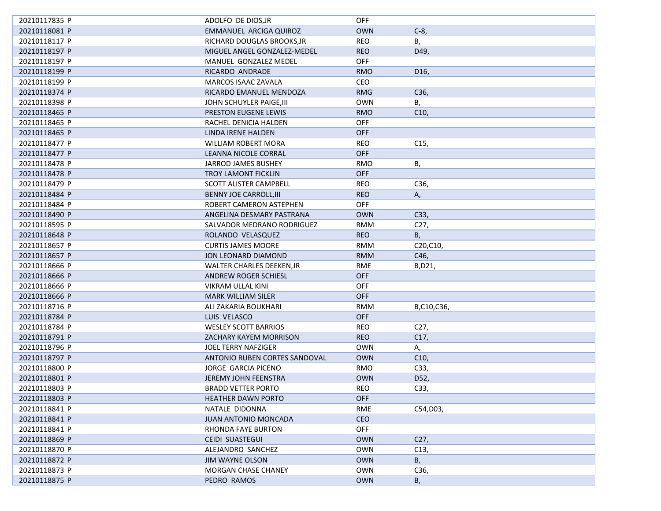| 20210117835 P | ADOLFO DE DIOS, JR               | <b>OFF</b> |                 |
|---------------|----------------------------------|------------|-----------------|
| 20210118081 P | EMMANUEL ARCIGA QUIROZ           | <b>OWN</b> | $C-8$           |
| 20210118117 P | RICHARD DOUGLAS BROOKS, JR       | <b>REO</b> | В,              |
| 20210118197 P | MIGUEL ANGEL GONZALEZ-MEDEL      | <b>REO</b> | D49,            |
| 20210118197 P | MANUEL GONZALEZ MEDEL            | <b>OFF</b> |                 |
| 20210118199 P | RICARDO ANDRADE                  | <b>RMO</b> | D <sub>16</sub> |
| 20210118199 P | MARCOS ISAAC ZAVALA              | CEO        |                 |
| 20210118374 P | RICARDO EMANUEL MENDOZA          | <b>RMG</b> | C36,            |
| 20210118398 P | JOHN SCHUYLER PAIGE, III         | <b>OWN</b> | В,              |
| 20210118465 P | PRESTON EUGENE LEWIS             | <b>RMO</b> | C10,            |
| 20210118465 P | RACHEL DENICIA HALDEN            | <b>OFF</b> |                 |
| 20210118465 P | LINDA IRENE HALDEN               | <b>OFF</b> |                 |
| 20210118477 P | WILLIAM ROBERT MORA              | REO        | C <sub>15</sub> |
| 20210118477 P | LEANNA NICOLE CORRAL             | <b>OFF</b> |                 |
| 20210118478 P | JARROD JAMES BUSHEY              | <b>RMO</b> | В,              |
| 20210118478 P | <b>TROY LAMONT FICKLIN</b>       | <b>OFF</b> |                 |
| 20210118479 P | SCOTT ALISTER CAMPBELL           | <b>REO</b> | C36,            |
| 20210118484 P | <b>BENNY JOE CARROLL, III</b>    | <b>REO</b> | Α,              |
| 20210118484 P | ROBERT CAMERON ASTEPHEN          | <b>OFF</b> |                 |
| 20210118490 P | ANGELINA DESMARY PASTRANA        | <b>OWN</b> | C33,            |
| 20210118595 P | SALVADOR MEDRANO RODRIGUEZ       | <b>RMM</b> | C27,            |
| 20210118648 P | ROLANDO VELASQUEZ                | <b>REO</b> | В,              |
| 20210118657 P | <b>CURTIS JAMES MOORE</b>        | <b>RMM</b> | C20,C10,        |
| 20210118657 P | JON LEONARD DIAMOND              | <b>RMM</b> | C46,            |
| 20210118666 P | <b>WALTER CHARLES DEEKEN, JR</b> | <b>RME</b> | B, D21,         |
| 20210118666 P | <b>ANDREW ROGER SCHIESL</b>      | <b>OFF</b> |                 |
| 20210118666 P | VIKRAM ULLAL KINI                | <b>OFF</b> |                 |
| 20210118666 P | <b>MARK WILLIAM SILER</b>        | <b>OFF</b> |                 |
| 20210118716 P | ALI ZAKARIA BOUKHARI             | <b>RMM</b> | B,C10,C36,      |
| 20210118784 P | LUIS VELASCO                     | <b>OFF</b> |                 |
| 20210118784 P | <b>WESLEY SCOTT BARRIOS</b>      | <b>REO</b> | C27,            |
| 20210118791 P | ZACHARY KAYEM MORRISON           | <b>REO</b> | C17,            |
| 20210118796 P | <b>JOEL TERRY NAFZIGER</b>       | <b>OWN</b> | А,              |
| 20210118797 P | ANTONIO RUBEN CORTES SANDOVAL    | <b>OWN</b> | C10,            |
| 20210118800 P | JORGE GARCIA PICENO              | <b>RMO</b> | C33,            |
| 20210118801 P | JEREMY JOHN FEENSTRA             | <b>OWN</b> | D52,            |
| 20210118803 P | <b>BRADD VETTER PORTO</b>        | <b>REO</b> | C33,            |
| 20210118803 P | <b>HEATHER DAWN PORTO</b>        | <b>OFF</b> |                 |
| 20210118841 P | NATALE DIDONNA                   | RME        | C54, D03,       |
| 20210118841 P | <b>JUAN ANTONIO MONCADA</b>      | <b>CEO</b> |                 |
| 20210118841 P | RHONDA FAYE BURTON               | OFF        |                 |
| 20210118869 P | CEIDI SUASTEGUI                  | <b>OWN</b> | C <sub>27</sub> |
| 20210118870 P | ALEJANDRO SANCHEZ                | <b>OWN</b> | C13,            |
| 20210118872 P | <b>JIM WAYNE OLSON</b>           | <b>OWN</b> | В,              |
| 20210118873 P | <b>MORGAN CHASE CHANEY</b>       | <b>OWN</b> | C36,            |
| 20210118875 P | PEDRO RAMOS                      | <b>OWN</b> | В,              |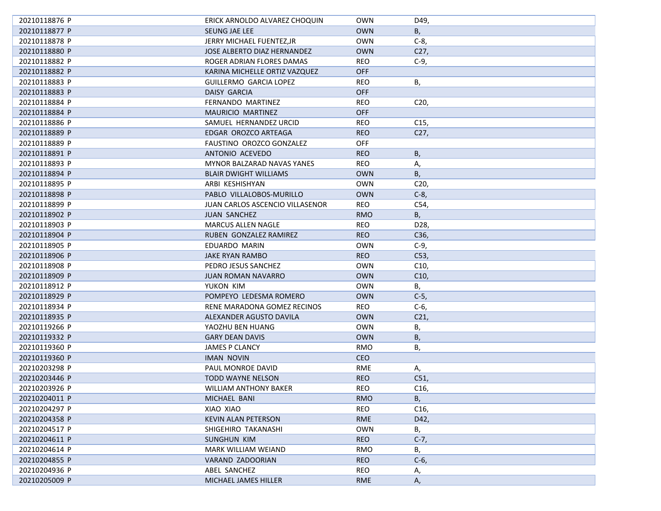| 20210118876 P | ERICK ARNOLDO ALVAREZ CHOQUIN     | OWN        | D49,            |
|---------------|-----------------------------------|------------|-----------------|
| 20210118877 P | SEUNG JAE LEE                     | <b>OWN</b> | В,              |
| 20210118878 P | JERRY MICHAEL FUENTEZ, JR         | <b>OWN</b> | $C-8$           |
| 20210118880 P | JOSE ALBERTO DIAZ HERNANDEZ       | <b>OWN</b> | C <sub>27</sub> |
| 20210118882 P | ROGER ADRIAN FLORES DAMAS         | <b>REO</b> | $C-9$           |
| 20210118882 P | KARINA MICHELLE ORTIZ VAZQUEZ     | <b>OFF</b> |                 |
| 20210118883 P | <b>GUILLERMO GARCIA LOPEZ</b>     | REO        | В,              |
| 20210118883 P | DAISY GARCIA                      | <b>OFF</b> |                 |
| 20210118884 P | FERNANDO MARTINEZ                 | <b>REO</b> | C <sub>20</sub> |
| 20210118884 P | MAURICIO MARTINEZ                 | OFF        |                 |
| 20210118886 P | SAMUEL HERNANDEZ URCID            | REO        | C <sub>15</sub> |
| 20210118889 P | EDGAR OROZCO ARTEAGA              | <b>REO</b> | C <sub>27</sub> |
| 20210118889 P | FAUSTINO OROZCO GONZALEZ          | <b>OFF</b> |                 |
| 20210118891 P | ANTONIO ACEVEDO                   | <b>REO</b> | В,              |
| 20210118893 P | <b>MYNOR BALZARAD NAVAS YANES</b> | REO        | Α,              |
| 20210118894 P | <b>BLAIR DWIGHT WILLIAMS</b>      | <b>OWN</b> | В,              |
| 20210118895 P | ARBI KESHISHYAN                   | OWN        | C20,            |
| 20210118898 P | PABLO VILLALOBOS-MURILLO          | <b>OWN</b> | $C-8$           |
| 20210118899 P | JUAN CARLOS ASCENCIO VILLASENOR   | <b>REO</b> | C54,            |
| 20210118902 P | <b>JUAN SANCHEZ</b>               | <b>RMO</b> | В,              |
| 20210118903 P | <b>MARCUS ALLEN NAGLE</b>         | REO        | D28,            |
| 20210118904 P | RUBEN GONZALEZ RAMIREZ            | <b>REO</b> | C36,            |
| 20210118905 P | <b>EDUARDO MARIN</b>              | OWN        | $C-9$           |
| 20210118906 P | <b>JAKE RYAN RAMBO</b>            | <b>REO</b> | C53,            |
| 20210118908 P | PEDRO JESUS SANCHEZ               | OWN        | C10,            |
| 20210118909 P | <b>JUAN ROMAN NAVARRO</b>         | <b>OWN</b> | C10,            |
| 20210118912 P | YUKON KIM                         | <b>OWN</b> | В,              |
| 20210118929 P | POMPEYO LEDESMA ROMERO            | <b>OWN</b> | $C-5$           |
| 20210118934 P | RENE MARADONA GOMEZ RECINOS       | <b>REO</b> | $C-6$           |
| 20210118935 P | ALEXANDER AGUSTO DAVILA           | <b>OWN</b> | C <sub>21</sub> |
| 20210119266 P | YAOZHU BEN HUANG                  | OWN        | В,              |
| 20210119332 P | <b>GARY DEAN DAVIS</b>            | <b>OWN</b> | В,              |
| 20210119360 P | JAMES P CLANCY                    | <b>RMO</b> | В,              |
| 20210119360 P | <b>IMAN NOVIN</b>                 | <b>CEO</b> |                 |
| 20210203298 P | PAUL MONROE DAVID                 | <b>RME</b> | Α,              |
| 20210203446 P | <b>TODD WAYNE NELSON</b>          | <b>REO</b> | C51,            |
| 20210203926 P | <b>WILLIAM ANTHONY BAKER</b>      | REO        | C16,            |
| 20210204011 P | MICHAEL BANI                      | <b>RMO</b> | B,              |
| 20210204297 P | XIAO XIAO                         | <b>REO</b> | C <sub>16</sub> |
| 20210204358 P | <b>KEVIN ALAN PETERSON</b>        | <b>RME</b> | D42,            |
| 20210204517 P | SHIGEHIRO TAKANASHI               | <b>OWN</b> | В,              |
| 20210204611 P | <b>SUNGHUN KIM</b>                | <b>REO</b> | $C-7,$          |
| 20210204614 P | <b>MARK WILLIAM WEIAND</b>        | <b>RMO</b> | В,              |
| 20210204855 P | VARAND ZADOORIAN                  | <b>REO</b> | $C-6$           |
| 20210204936 P | ABEL SANCHEZ                      | REO        | Α,              |
| 20210205009 P | MICHAEL JAMES HILLER              | <b>RME</b> | А,              |